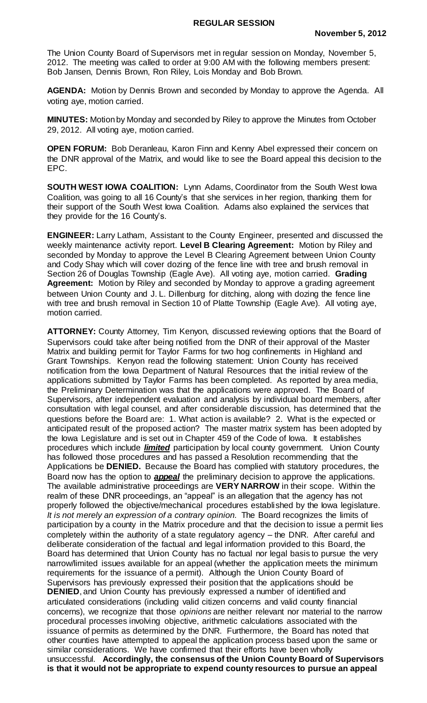The Union County Board of Supervisors met in regular session on Monday, November 5, 2012. The meeting was called to order at 9:00 AM with the following members present: Bob Jansen, Dennis Brown, Ron Riley, Lois Monday and Bob Brown.

**AGENDA:** Motion by Dennis Brown and seconded by Monday to approve the Agenda. All voting aye, motion carried.

**MINUTES:** Motion by Monday and seconded by Riley to approve the Minutes from October 29, 2012. All voting aye, motion carried.

**OPEN FORUM:** Bob Deranleau, Karon Finn and Kenny Abel expressed their concern on the DNR approval of the Matrix, and would like to see the Board appeal this decision to the EPC.

**SOUTH WEST IOWA COALITION:** Lynn Adams, Coordinator from the South West Iowa Coalition, was going to all 16 County's that she services in her region, thanking them for their support of the South West Iowa Coalition. Adams also explained the services that they provide for the 16 County's.

**ENGINEER:** Larry Latham, Assistant to the County Engineer, presented and discussed the weekly maintenance activity report. **Level B Clearing Agreement:** Motion by Riley and seconded by Monday to approve the Level B Clearing Agreement between Union County and Cody Shay which will cover dozing of the fence line with tree and brush removal in Section 26 of Douglas Township (Eagle Ave). All voting aye, motion carried. **Grading Agreement:** Motion by Riley and seconded by Monday to approve a grading agreement between Union County and J. L. Dillenburg for ditching, along with dozing the fence line with tree and brush removal in Section 10 of Platte Township (Eagle Ave). All voting aye, motion carried.

**ATTORNEY:** County Attorney, Tim Kenyon, discussed reviewing options that the Board of Supervisors could take after being notified from the DNR of their approval of the Master Matrix and building permit for Taylor Farms for two hog confinements in Highland and Grant Townships. Kenyon read the following statement: Union County has received notification from the Iowa Department of Natural Resources that the initial review of the applications submitted by Taylor Farms has been completed. As reported by area media, the Preliminary Determination was that the applications were approved. The Board of Supervisors, after independent evaluation and analysis by individual board members, after consultation with legal counsel, and after considerable discussion, has determined that the questions before the Board are: 1. What action is available? 2. What is the expected or anticipated result of the proposed action? The master matrix system has been adopted by the Iowa Legislature and is set out in Chapter 459 of the Code of Iowa. It establishes procedures which include *limited* participation by local county government. Union County has followed those procedures and has passed a Resolution recommending that the Applications be **DENIED.** Because the Board has complied with statutory procedures, the Board now has the option to *appeal* the preliminary decision to approve the applications. The available administrative proceedings are **VERY NARROW** in their scope. Within the realm of these DNR proceedings, an "appeal" is an allegation that the agency has not properly followed the objective/mechanical procedures established by the Iowa legislature. *It is not merely an expression of a contrary opinion.* The Board recognizes the limits of participation by a county in the Matrix procedure and that the decision to issue a permit lies completely within the authority of a state regulatory agency – the DNR. After careful and deliberate consideration of the factual and legal information provided to this Board, the Board has determined that Union County has no factual nor legal basis to pursue the very narrow/limited issues available for an appeal (whether the application meets the minimum requirements for the issuance of a permit). Although the Union County Board of Supervisors has previously expressed their position that the applications should be **DENIED**, and Union County has previously expressed a number of identified and articulated considerations (including valid citizen concerns and valid county financial concerns), we recognize that those *opinions* are neither relevant nor material to the narrow procedural processes involving objective, arithmetic calculations associated with the issuance of permits as determined by the DNR. Furthermore, the Board has noted that other counties have attempted to appeal the application process based upon the same or similar considerations. We have confirmed that their efforts have been wholly unsuccessful. **Accordingly, the consensus of the Union County Board of Supervisors is that it would not be appropriate to expend county resources to pursue an appeal**